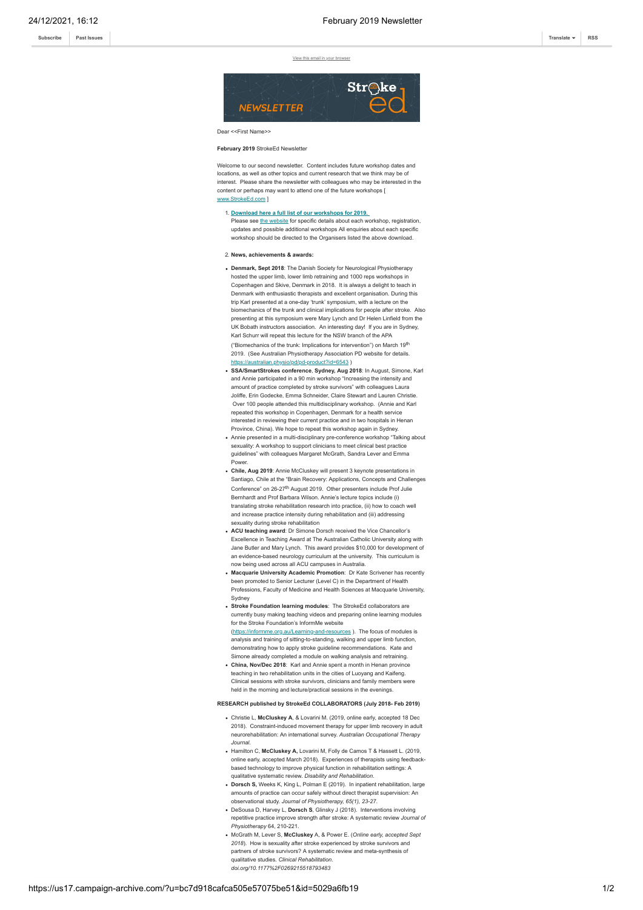**[Subscribe](http://eepurl.com/dALkcT) [Past Issues](https://us17.campaign-archive.com/home/?u=bc7d918cafca505e57075be51&id=1c918590b8) [Translate](javascript:;) [RSS](https://us17.campaign-archive.com/feed?u=bc7d918cafca505e57075be51&id=1c918590b8)**

[View this email in your browser](https://mailchi.mp/84dc7c63141c/february-2019-newsletter-450837?e=[UNIQID])



## Dear <<First Name>>

February 2019 StrokeEd Newslette

Welcome to our second newsletter. Content includes future workshop dates and locations, as well as other topics and current research that we think may be of interest. Please share the newsletter with colleagues who may be interested in the content or perhaps may want to attend one of the future workshops [ [www.StrokeEd.com](http://www.strokeed.com/) ]

- 1. **[Download here a full list of our workshops for 2019.](https://gallery.mailchimp.com/bc7d918cafca505e57075be51/files/e1e99ab5-d9be-4f64-81e5-54225729c7a1/StrokeEd_Workshops_for_2019.pdf)** Please see [the website](http://www.strokeed.com/workshop-calendar/) for specific details about each workshop, registration, updates and possible additional workshops All enquiries about each specific workshop should be directed to the Organisers listed the above download
- 2. **News, achievements & awards:**
- **Denmark, Sept 2018**: The Danish Society for Neurological Physiotherapy hosted the upper limb, lower limb retraining and 1000 reps workshops in Copenhagen and Skive, Denmark in 2018. It is always a delight to teach in Denmark with enthusiastic therapists and excellent organisation. During this trip Karl presented at a one-day 'trunk' symposium, with a lecture on the biomechanics of the trunk and clinical implications for people after stroke. Also presenting at this symposium were Mary Lynch and Dr Helen Linfield from the UK Bobath instructors association. An interesting day! If you are in Sydney, Karl Schurr will repeat this lecture for the NSW branch of the APA ("Biomechanics of the trunk: Implications for intervention") on March 19th 2019. (See Australian Physiotherapy Association PD website for details. <https://australian.physio/pd/pd-product?id=6543> )
- **SSA/SmartStrokes conference**, **Sydney, Aug 2018**: In August, Simone, Karl and Annie participated in a 90 min workshop "Increasing the intensity and amount of practice completed by stroke survivors" with colleagues Laura Joliffe, Erin Godecke, Emma Schneider, Claire Stewart and Lauren Christie. Over 100 people attended this multidisciplinary workshop. (Annie and Karl repeated this workshop in Copenhagen, Denmark for a health service interested in reviewing their current practice and in two hospitals in Henan Province, China). We hope to repeat this workshop again in Sydney.
- Annie presented in a multi-disciplinary pre-conference workshop "Talking about sexuality: A workshop to support clinicians to meet clinical best practic guidelines" with colleagues Margaret McGrath, Sandra Lever and Emma Power.
- **Chile, Aug 2019**: Annie McCluskey will present 3 keynote presentations in Santiago, Chile at the "Brain Recovery: Applications, Concepts and Challenges Conference" on 26-27<sup>th</sup> August 2019. Other presenters include Prof Julie Bernhardt and Prof Barbara Wilson. Annie's lecture topics include (i) translating stroke rehabilitation research into practice, (ii) how to coach well and increase practice intensity during rehabilitation and (iii) addressing sexuality during stroke rehabilitation
- **ACU teaching award**: Dr Simone Dorsch received the Vice Chancellor's Excellence in Teaching Award at The Australian Catholic University along with Jane Butler and Mary Lynch. This award provides \$10,000 for development of an evidence-based neurology curriculum at the university. This curriculum is now being used across all ACU campuses in Australia.
- **Macquarie University Academic Promotion**: Dr Kate Scrivener has recently been promoted to Senior Lecturer (Level C) in the Department of Health Professions, Faculty of Medicine and Health Sciences at Macquarie University, Sydney
- **Stroke Foundation learning modules**: The StrokeEd collaborators are currently busy making teaching videos and preparing online learning modules for the Stroke Foundation's InformMe website [\(https://informme.org.au/Learning-and-resources](https://informme.org.au/Learning-and-resources) ). The focus of modules is analysis and training of sitting-to-standing, walking and upper limb function,
- demonstrating how to apply stroke guideline recommendations. Kate and Simone already completed a module on walking analysis and retraining. **China, Nov/Dec 2018**: Karl and Annie spent a month in Henan province
- teaching in two rehabilitation units in the cities of Luoyang and Kaifeng. Clinical sessions with stroke survivors, clinicians and family members were held in the morning and lecture/practical sessions in the evenings.

## **RESEARCH published by StrokeEd COLLABORATORS (July 2018- Feb 2019)**

- Christie L, **McCluskey A**, & Lovarini M. (2019, online early, accepted 18 Dec 2018). Constraint-induced movement therapy for upper limb recovery in adult neurorehabilitation: An international survey. *Australian Occupational Therapy Journal.*
- Hamilton C, **McCluskey A,** Lovarini M, Folly de Camos T & Hassett L. (2019, online early, accepted March 2018). Experiences of therapists using feedbackbased technology to improve physical function in rehabilitation settings: A qualitative systematic review. *Disability and Rehabilitation*.
- **Dorsch S,** Weeks K, King L, Polman E (2019). In inpatient rehabilitation, large amounts of practice can occur safely without direct therapist supervision: An observational study. *Journal of Physiotherapy, 65(1), 23-27*.
- DeSousa D, Harvey L, **Dorsch S**, Glinsky J (2018). Interventions involving repetitive practice improve strength after stroke: A systematic review *Journal of Physiotherapy* 64, 210-221.
- McGrath M, Lever S, **McCluskey** A, & Power E. (*Online early, accepted Sept 2018*). How is sexuality after stroke experienced by stroke survivors and partners of stroke survivors? A systematic review and meta-synthesis of qualitative studies. *Clinical Rehabilitation. doi.org/10.1177%2F0269215518793483*